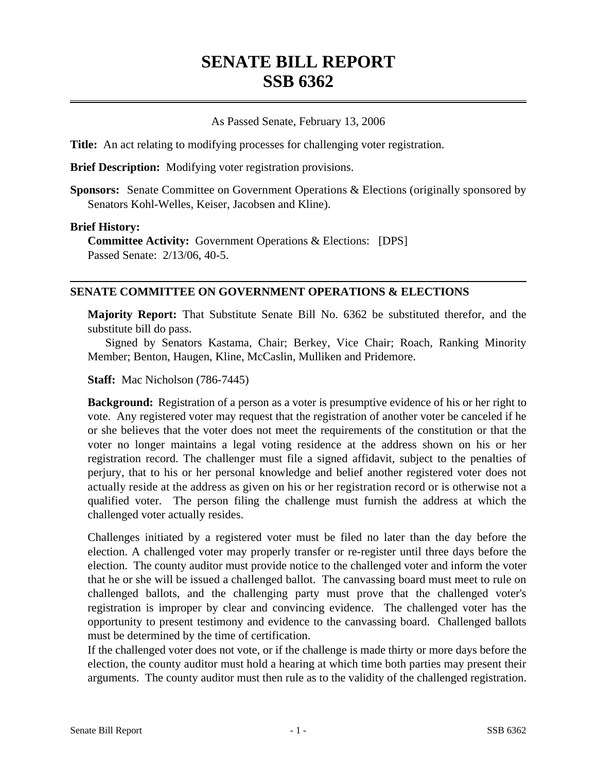# **SENATE BILL REPORT SSB 6362**

### As Passed Senate, February 13, 2006

**Title:** An act relating to modifying processes for challenging voter registration.

**Brief Description:** Modifying voter registration provisions.

**Sponsors:** Senate Committee on Government Operations & Elections (originally sponsored by Senators Kohl-Welles, Keiser, Jacobsen and Kline).

#### **Brief History:**

**Committee Activity:** Government Operations & Elections: [DPS] Passed Senate: 2/13/06, 40-5.

### **SENATE COMMITTEE ON GOVERNMENT OPERATIONS & ELECTIONS**

**Majority Report:** That Substitute Senate Bill No. 6362 be substituted therefor, and the substitute bill do pass.

Signed by Senators Kastama, Chair; Berkey, Vice Chair; Roach, Ranking Minority Member; Benton, Haugen, Kline, McCaslin, Mulliken and Pridemore.

**Staff:** Mac Nicholson (786-7445)

**Background:** Registration of a person as a voter is presumptive evidence of his or her right to vote. Any registered voter may request that the registration of another voter be canceled if he or she believes that the voter does not meet the requirements of the constitution or that the voter no longer maintains a legal voting residence at the address shown on his or her registration record. The challenger must file a signed affidavit, subject to the penalties of perjury, that to his or her personal knowledge and belief another registered voter does not actually reside at the address as given on his or her registration record or is otherwise not a qualified voter. The person filing the challenge must furnish the address at which the challenged voter actually resides.

Challenges initiated by a registered voter must be filed no later than the day before the election. A challenged voter may properly transfer or re-register until three days before the election. The county auditor must provide notice to the challenged voter and inform the voter that he or she will be issued a challenged ballot. The canvassing board must meet to rule on challenged ballots, and the challenging party must prove that the challenged voter's registration is improper by clear and convincing evidence. The challenged voter has the opportunity to present testimony and evidence to the canvassing board. Challenged ballots must be determined by the time of certification.

If the challenged voter does not vote, or if the challenge is made thirty or more days before the election, the county auditor must hold a hearing at which time both parties may present their arguments. The county auditor must then rule as to the validity of the challenged registration.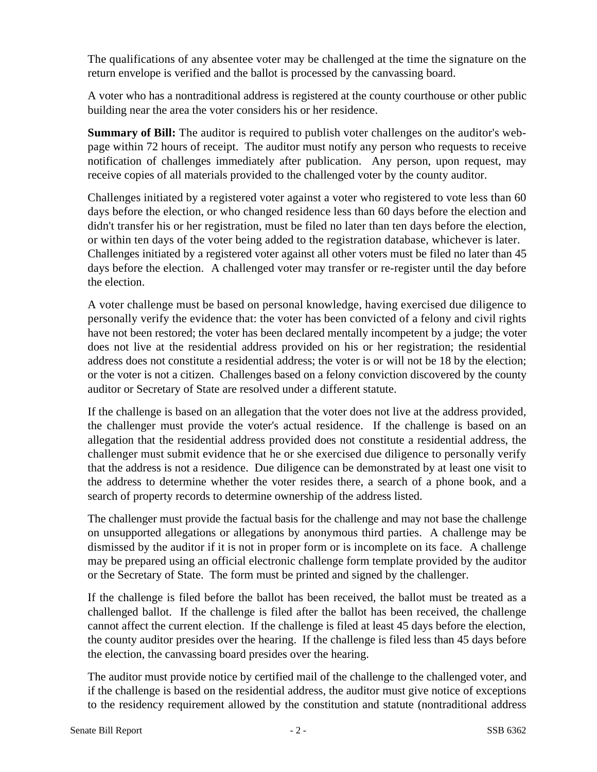The qualifications of any absentee voter may be challenged at the time the signature on the return envelope is verified and the ballot is processed by the canvassing board.

A voter who has a nontraditional address is registered at the county courthouse or other public building near the area the voter considers his or her residence.

**Summary of Bill:** The auditor is required to publish voter challenges on the auditor's webpage within 72 hours of receipt. The auditor must notify any person who requests to receive notification of challenges immediately after publication. Any person, upon request, may receive copies of all materials provided to the challenged voter by the county auditor.

Challenges initiated by a registered voter against a voter who registered to vote less than 60 days before the election, or who changed residence less than 60 days before the election and didn't transfer his or her registration, must be filed no later than ten days before the election, or within ten days of the voter being added to the registration database, whichever is later. Challenges initiated by a registered voter against all other voters must be filed no later than 45 days before the election. A challenged voter may transfer or re-register until the day before the election.

A voter challenge must be based on personal knowledge, having exercised due diligence to personally verify the evidence that: the voter has been convicted of a felony and civil rights have not been restored; the voter has been declared mentally incompetent by a judge; the voter does not live at the residential address provided on his or her registration; the residential address does not constitute a residential address; the voter is or will not be 18 by the election; or the voter is not a citizen. Challenges based on a felony conviction discovered by the county auditor or Secretary of State are resolved under a different statute.

If the challenge is based on an allegation that the voter does not live at the address provided, the challenger must provide the voter's actual residence. If the challenge is based on an allegation that the residential address provided does not constitute a residential address, the challenger must submit evidence that he or she exercised due diligence to personally verify that the address is not a residence. Due diligence can be demonstrated by at least one visit to the address to determine whether the voter resides there, a search of a phone book, and a search of property records to determine ownership of the address listed.

The challenger must provide the factual basis for the challenge and may not base the challenge on unsupported allegations or allegations by anonymous third parties. A challenge may be dismissed by the auditor if it is not in proper form or is incomplete on its face. A challenge may be prepared using an official electronic challenge form template provided by the auditor or the Secretary of State. The form must be printed and signed by the challenger.

If the challenge is filed before the ballot has been received, the ballot must be treated as a challenged ballot. If the challenge is filed after the ballot has been received, the challenge cannot affect the current election. If the challenge is filed at least 45 days before the election, the county auditor presides over the hearing. If the challenge is filed less than 45 days before the election, the canvassing board presides over the hearing.

The auditor must provide notice by certified mail of the challenge to the challenged voter, and if the challenge is based on the residential address, the auditor must give notice of exceptions to the residency requirement allowed by the constitution and statute (nontraditional address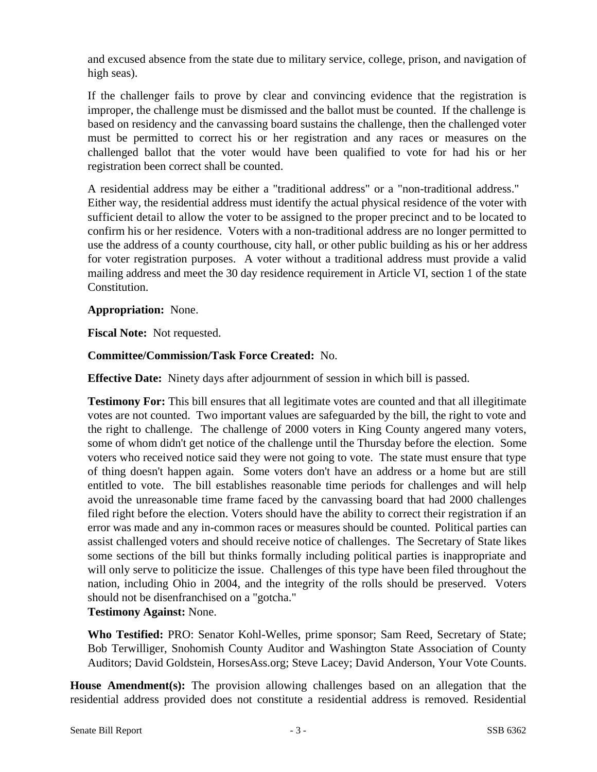and excused absence from the state due to military service, college, prison, and navigation of high seas).

If the challenger fails to prove by clear and convincing evidence that the registration is improper, the challenge must be dismissed and the ballot must be counted. If the challenge is based on residency and the canvassing board sustains the challenge, then the challenged voter must be permitted to correct his or her registration and any races or measures on the challenged ballot that the voter would have been qualified to vote for had his or her registration been correct shall be counted.

A residential address may be either a "traditional address" or a "non-traditional address." Either way, the residential address must identify the actual physical residence of the voter with sufficient detail to allow the voter to be assigned to the proper precinct and to be located to confirm his or her residence. Voters with a non-traditional address are no longer permitted to use the address of a county courthouse, city hall, or other public building as his or her address for voter registration purposes. A voter without a traditional address must provide a valid mailing address and meet the 30 day residence requirement in Article VI, section 1 of the state Constitution.

## **Appropriation:** None.

**Fiscal Note:** Not requested.

### **Committee/Commission/Task Force Created:** No.

**Effective Date:** Ninety days after adjournment of session in which bill is passed.

**Testimony For:** This bill ensures that all legitimate votes are counted and that all illegitimate votes are not counted. Two important values are safeguarded by the bill, the right to vote and the right to challenge. The challenge of 2000 voters in King County angered many voters, some of whom didn't get notice of the challenge until the Thursday before the election. Some voters who received notice said they were not going to vote. The state must ensure that type of thing doesn't happen again. Some voters don't have an address or a home but are still entitled to vote. The bill establishes reasonable time periods for challenges and will help avoid the unreasonable time frame faced by the canvassing board that had 2000 challenges filed right before the election. Voters should have the ability to correct their registration if an error was made and any in-common races or measures should be counted. Political parties can assist challenged voters and should receive notice of challenges. The Secretary of State likes some sections of the bill but thinks formally including political parties is inappropriate and will only serve to politicize the issue. Challenges of this type have been filed throughout the nation, including Ohio in 2004, and the integrity of the rolls should be preserved. Voters should not be disenfranchised on a "gotcha."

**Testimony Against:** None.

**Who Testified:** PRO: Senator Kohl-Welles, prime sponsor; Sam Reed, Secretary of State; Bob Terwilliger, Snohomish County Auditor and Washington State Association of County Auditors; David Goldstein, HorsesAss.org; Steve Lacey; David Anderson, Your Vote Counts.

**House Amendment(s):** The provision allowing challenges based on an allegation that the residential address provided does not constitute a residential address is removed. Residential